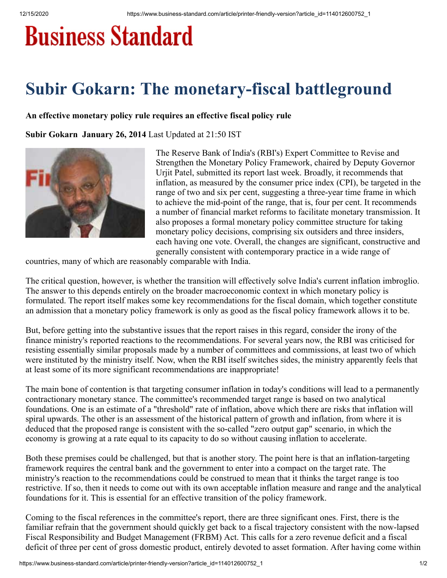## **Business Standard**

## **Subir Gokarn: The monetary-fiscal battleground**

## **An effective monetary policy rule requires an effective fiscal policy rule**

**Subir Gokarn January 26, 2014** Last Updated at 21:50 IST



The Reserve Bank of India's (RBI's) Expert Committee to Revise and Strengthen the Monetary Policy Framework, chaired by Deputy Governor Urjit Patel, submitted its report last week. Broadly, it recommends that inflation, as measured by the consumer price index (CPI), be targeted in the range of two and six per cent, suggesting a three-year time frame in which to achieve the mid-point of the range, that is, four per cent. It recommends a number of financial market reforms to facilitate monetary transmission. It also proposes a formal monetary policy committee structure for taking monetary policy decisions, comprising six outsiders and three insiders, each having one vote. Overall, the changes are significant, constructive and generally consistent with contemporary practice in a wide range of

countries, many of which are reasonably comparable with India.

The critical question, however, is whether the transition will effectively solve India's current inflation imbroglio. The answer to this depends entirely on the broader macroeconomic context in which monetary policy is formulated. The report itself makes some key recommendations for the fiscal domain, which together constitute an admission that a monetary policy framework is only as good as the fiscal policy framework allows it to be.

But, before getting into the substantive issues that the report raises in this regard, consider the irony of the finance ministry's reported reactions to the recommendations. For several years now, the RBI was criticised for resisting essentially similar proposals made by a number of committees and commissions, at least two of which were instituted by the ministry itself. Now, when the RBI itself switches sides, the ministry apparently feels that at least some of its more significant recommendations are inappropriate!

The main bone of contention is that targeting consumer inflation in today's conditions will lead to a permanently contractionary monetary stance. The committee's recommended target range is based on two analytical foundations. One is an estimate of a "threshold" rate of inflation, above which there are risks that inflation will spiral upwards. The other is an assessment of the historical pattern of growth and inflation, from where it is deduced that the proposed range is consistent with the so-called "zero output gap" scenario, in which the economy is growing at a rate equal to its capacity to do so without causing inflation to accelerate.

Both these premises could be challenged, but that is another story. The point here is that an inflation-targeting framework requires the central bank and the government to enter into a compact on the target rate. The ministry's reaction to the recommendations could be construed to mean that it thinks the target range is too restrictive. If so, then it needs to come out with its own acceptable inflation measure and range and the analytical foundations for it. This is essential for an effective transition of the policy framework.

Coming to the fiscal references in the committee's report, there are three significant ones. First, there is the familiar refrain that the government should quickly get back to a fiscal trajectory consistent with the now-lapsed Fiscal Responsibility and Budget Management (FRBM) Act. This calls for a zero revenue deficit and a fiscal deficit of three per cent of gross domestic product, entirely devoted to asset formation. After having come within